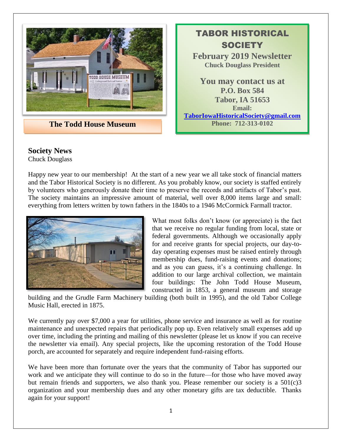

**The Todd House Museum Phone: 712-313-0102** 

TABOR HISTORICAL **SOCIETY February 2019 Newsletter Chuck Douglass President You may contact us at P.O. Box 584 Tabor, IA 51653 Email: [TaborIowaHistoricalSociety@gmail.com](mailto:TaborIowaHistoricalSociety@gmail.com)**

## **Society News**

Chuck Douglass

Happy new year to our membership! At the start of a new year we all take stock of financial matters and the Tabor Historical Society is no different. As you probably know, our society is staffed entirely by volunteers who generously donate their time to preserve the records and artifacts of Tabor's past. The society maintains an impressive amount of material, well over 8,000 items large and small: everything from letters written by town fathers in the 1840s to a 1946 McCormick Farmall tractor.



What most folks don't know (or appreciate) is the fact that we receive no regular funding from local, state or federal governments. Although we occasionally apply for and receive grants for special projects, our day-today operating expenses must be raised entirely through membership dues, fund-raising events and donations; and as you can guess, it's a continuing challenge. In addition to our large archival collection, we maintain four buildings: The John Todd House Museum, constructed in 1853, a general museum and storage

building and the Grudle Farm Machinery building (both built in 1995), and the old Tabor College Music Hall, erected in 1875.

We currently pay over \$7,000 a year for utilities, phone service and insurance as well as for routine maintenance and unexpected repairs that periodically pop up. Even relatively small expenses add up over time, including the printing and mailing of this newsletter (please let us know if you can receive the newsletter via email). Any special projects, like the upcoming restoration of the Todd House porch, are accounted for separately and require independent fund-raising efforts.

We have been more than fortunate over the years that the community of Tabor has supported our work and we anticipate they will continue to do so in the future—for those who have moved away but remain friends and supporters, we also thank you. Please remember our society is a  $501(c)3$ organization and your membership dues and any other monetary gifts are tax deductible. Thanks again for your support!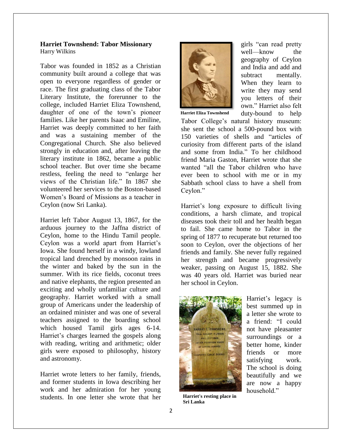#### **Harriet Townshend: Tabor Missionary** Harry Wilkins

Tabor was founded in 1852 as a Christian community built around a college that was open to everyone regardless of gender or race. The first graduating class of the Tabor Literary Institute, the forerunner to the college, included Harriet Eliza Townshend, daughter of one of the town's pioneer families. Like her parents Isaac and Emiline, Harriet was deeply committed to her faith and was a sustaining member of the Congregational Church. She also believed strongly in education and, after leaving the literary institute in 1862, became a public school teacher. But over time she became restless, feeling the need to "enlarge her views of the Christian life." In 1867 she volunteered her services to the Boston-based Women's Board of Missions as a teacher in Ceylon (now Sri Lanka).

Harriet left Tabor August 13, 1867, for the arduous journey to the Jaffna district of Ceylon, home to the Hindu Tamil people. Ceylon was a world apart from Harriet's Iowa. She found herself in a windy, lowland tropical land drenched by monsoon rains in the winter and baked by the sun in the summer. With its rice fields, coconut trees and native elephants, the region presented an exciting and wholly unfamiliar culture and geography. Harriet worked with a small group of Americans under the leadership of an ordained minister and was one of several teachers assigned to the boarding school which housed Tamil girls ages 6-14. Harriet's charges learned the gospels along with reading, writing and arithmetic; older girls were exposed to philosophy, history and astronomy.

Harriet wrote letters to her family, friends, and former students in Iowa describing her work and her admiration for her young students. In one letter she wrote that her



girls "can read pretty well—know the geography of Ceylon and India and add and subtract mentally. When they learn to write they may send you letters of their own." Harriet also felt duty-bound to help

**Harriet Eliza Townshend**

Tabor College's natural history museum: she sent the school a 500-pound box with 150 varieties of shells and "articles of curiosity from different parts of the island and some from India." To her childhood friend Maria Gaston, Harriet wrote that she wanted "all the Tabor children who have ever been to school with me or in my Sabbath school class to have a shell from Ceylon."

Harriet's long exposure to difficult living conditions, a harsh climate, and tropical diseases took their toll and her health began to fail. She came home to Tabor in the spring of 1877 to recuperate but returned too soon to Ceylon, over the objections of her friends and family. She never fully regained her strength and became progressively weaker, passing on August 15, 1882. She was 40 years old. Harriet was buried near her school in Ceylon.



a letter she wrote to a friend: "I could not have pleasanter surroundings or a better home, kinder friends or more satisfying work. The school is doing beautifully and we are now a happy household."

Harriet's legacy is best summed up in

**Harriet's resting place in Sri Lanka**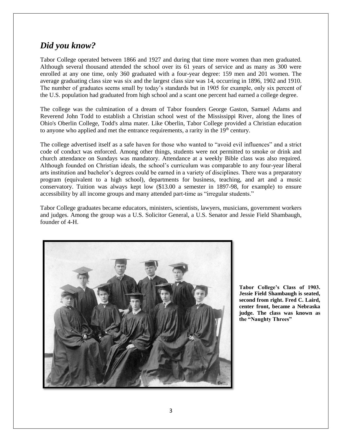## *Did you know?*

Tabor College operated between 1866 and 1927 and during that time more women than men graduated. Although several thousand attended the school over its 61 years of service and as many as 300 were enrolled at any one time, only 360 graduated with a four-year degree: 159 men and 201 women. The average graduating class size was six and the largest class size was 14, occurring in 1896, 1902 and 1910. The number of graduates seems small by today's standards but in 1905 for example, only six percent of the U.S. population had graduated from high school and a scant one percent had earned a college degree.

The college was the culmination of a dream of Tabor founders George Gaston, Samuel Adams and Reverend John Todd to establish a Christian school west of the Mississippi River, along the lines of Ohio's Oberlin College, Todd's alma mater. Like Oberlin, Tabor College provided a Christian education to anyone who applied and met the entrance requirements, a rarity in the  $19<sup>th</sup>$  century.

The college advertised itself as a safe haven for those who wanted to "avoid evil influences" and a strict code of conduct was enforced. Among other things, students were not permitted to smoke or drink and church attendance on Sundays was mandatory. Attendance at a weekly Bible class was also required. Although founded on Christian ideals, the school's curriculum was comparable to any four-year liberal arts institution and bachelor's degrees could be earned in a variety of disciplines. There was a preparatory program (equivalent to a high school), departments for business, teaching, and art and a music conservatory. Tuition was always kept low (\$13.00 a semester in 1897-98, for example) to ensure accessibility by all income groups and many attended part-time as "irregular students."

Tabor College graduates became educators, ministers, scientists, lawyers, musicians, government workers and judges. Among the group was a U.S. Solicitor General, a U.S. Senator and Jessie Field Shambaugh, founder of 4-H.



**Tabor College's Class of 1903. Jessie Field Shambaugh is seated, second from right. Fred C. Laird, center front, became a Nebraska judge. The class was known as the "Naughty Threes"**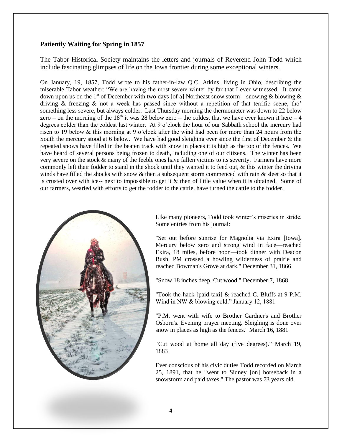### **Patiently Waiting for Spring in 1857**

The Tabor Historical Society maintains the letters and journals of Reverend John Todd which include fascinating glimpses of life on the Iowa frontier during some exceptional winters.

On January, 19, 1857, Todd wrote to his father-in-law Q.C. Atkins, living in Ohio, describing the miserable Tabor weather: "We are having the most severe winter by far that I ever witnessed. It came down upon us on the 1<sup>st</sup> of December with two days [of a] Northeast snow storm – snowing & blowing & driving & freezing & not a week has passed since without a repetition of that terrific scene, tho' something less severe, but always colder. Last Thursday morning the thermometer was down to 22 below zero – on the morning of the 18<sup>th</sup> it was 28 below zero – the coldest that we have ever known it here – 4 degrees colder than the coldest last winter. At 9 o'clock the hour of our Sabbath school the mercury had risen to 19 below & this morning at 9 o'clock after the wind had been for more than 24 hours from the South the mercury stood at 6 below. We have had good sleighing ever since the first of December & the repeated snows have filled in the beaten track with snow in places it is high as the top of the fences. We have heard of several persons being frozen to death, including one of our citizens. The winter has been very severe on the stock & many of the feeble ones have fallen victims to its severity. Farmers have more commonly left their fodder to stand in the shock until they wanted it to feed out, & this winter the driving winds have filled the shocks with snow & then a subsequent storm commenced with rain & sleet so that it is crusted over with ice-- next to impossible to get it  $\&$  then of little value when it is obtained. Some of our farmers, wearied with efforts to get the fodder to the cattle, have turned the cattle to the fodder.



Like many pioneers, Todd took winter's miseries in stride. Some entries from his journal:

"Set out before sunrise for Magnolia via Exira [Iowa]. Mercury below zero and strong wind in face—reached Exira, 18 miles, before noon—took dinner with Deacon Bush. PM crossed a howling wilderness of prairie and reached Bowman's Grove at dark." December 31, 1866

"Snow 18 inches deep. Cut wood." December 7, 1868

"Took the hack [paid taxi] & reached C. Bluffs at 9 P.M. Wind in NW & blowing cold." January 12, 1881

"P.M. went with wife to Brother Gardner's and Brother Osborn's. Evening prayer meeting. Sleighing is done over snow in places as high as the fences." March 16, 1881

"Cut wood at home all day (five degrees)." March 19, 1883

Ever conscious of his civic duties Todd recorded on March 25, 1891, that he "went to Sidney [on] horseback in a snowstorm and paid taxes." The pastor was 73 years old.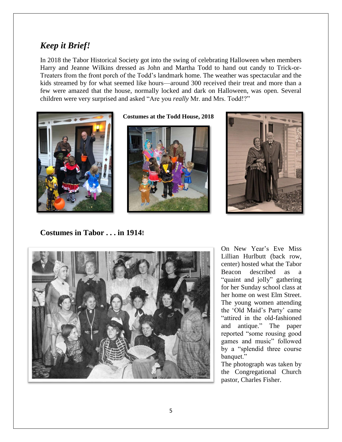# *Keep it Brief!*

In 2018 the Tabor Historical Society got into the swing of celebrating Halloween when members Harry and Jeanne Wilkins dressed as John and Martha Todd to hand out candy to Trick-or-Treaters from the front porch of the Todd's landmark home. The weather was spectacular and the kids streamed by for what seemed like hours—around 300 received their treat and more than a few were amazed that the house, normally locked and dark on Halloween, was open. Several children were very surprised and asked "Are you *really* Mr. and Mrs. Todd!?"



**Costumes at the Todd House, 2018**





**Costumes in Tabor . . . in 1914!** 



On New Year's Eve Miss Lillian Hurlbutt (back row, center) hosted what the Tabor Beacon described as a "quaint and jolly" gathering for her Sunday school class at her home on west Elm Street. The young women attending the 'Old Maid's Party' came "attired in the old-fashioned and antique." The paper reported "some rousing good games and music" followed by a "splendid three course banquet."

The photograph was taken by the Congregational Church pastor, Charles Fisher.